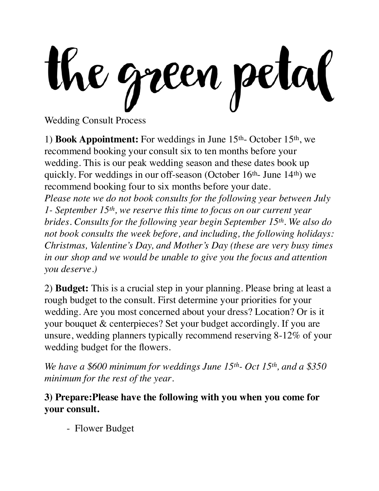the green petal

Wedding Consult Process

1) **Book Appointment:** For weddings in June 15th- October 15th, we recommend booking your consult six to ten months before your wedding. This is our peak wedding season and these dates book up quickly. For weddings in our off-season (October 16<sup>th</sup>- June 14<sup>th</sup>) we recommend booking four to six months before your date. *Please note we do not book consults for the following year between July 1- September 15th, we reserve this time to focus on our current year brides. Consults for the following year begin September 15th. We also do* 

*not book consults the week before, and including, the following holidays: Christmas, Valentine's Day, and Mother's Day (these are very busy times in our shop and we would be unable to give you the focus and attention you deserve.)* 

2) **Budget:** This is a crucial step in your planning. Please bring at least a rough budget to the consult. First determine your priorities for your wedding. Are you most concerned about your dress? Location? Or is it your bouquet & centerpieces? Set your budget accordingly. If you are unsure, wedding planners typically recommend reserving 8-12% of your wedding budget for the flowers.

*We have a \$600 minimum for weddings June 15th- Oct 15th, and a \$350 minimum for the rest of the year*.

**3) Prepare:Please have the following with you when you come for your consult.** 

- Flower Budget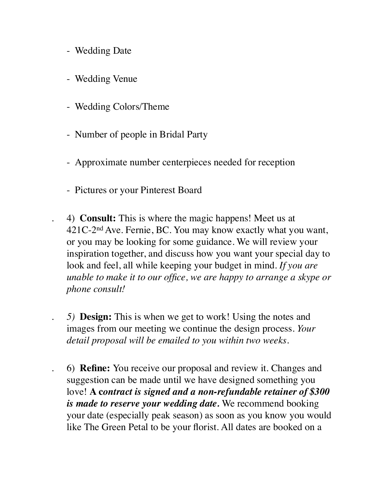- Wedding Date
- Wedding Venue
- Wedding Colors/Theme
- Number of people in Bridal Party
- Approximate number centerpieces needed for reception
- Pictures or your Pinterest Board
- . 4) **Consult:** This is where the magic happens! Meet us at 421C-2nd Ave. Fernie, BC. You may know exactly what you want, or you may be looking for some guidance. We will review your inspiration together, and discuss how you want your special day to look and feel, all while keeping your budget in mind. *If you are unable to make it to our office, we are happy to arrange a skype or phone consult!*
- *. 5)* **Design:** This is when we get to work! Using the notes and images from our meeting we continue the design process. *Your detail proposal will be emailed to you within two weeks.*
- . 6) **Refine:** You receive our proposal and review it. Changes and suggestion can be made until we have designed something you love! **A c***ontract is signed and a non-refundable retainer of \$300 is made to reserve your wedding date.* We recommend booking your date (especially peak season) as soon as you know you would like The Green Petal to be your florist. All dates are booked on a